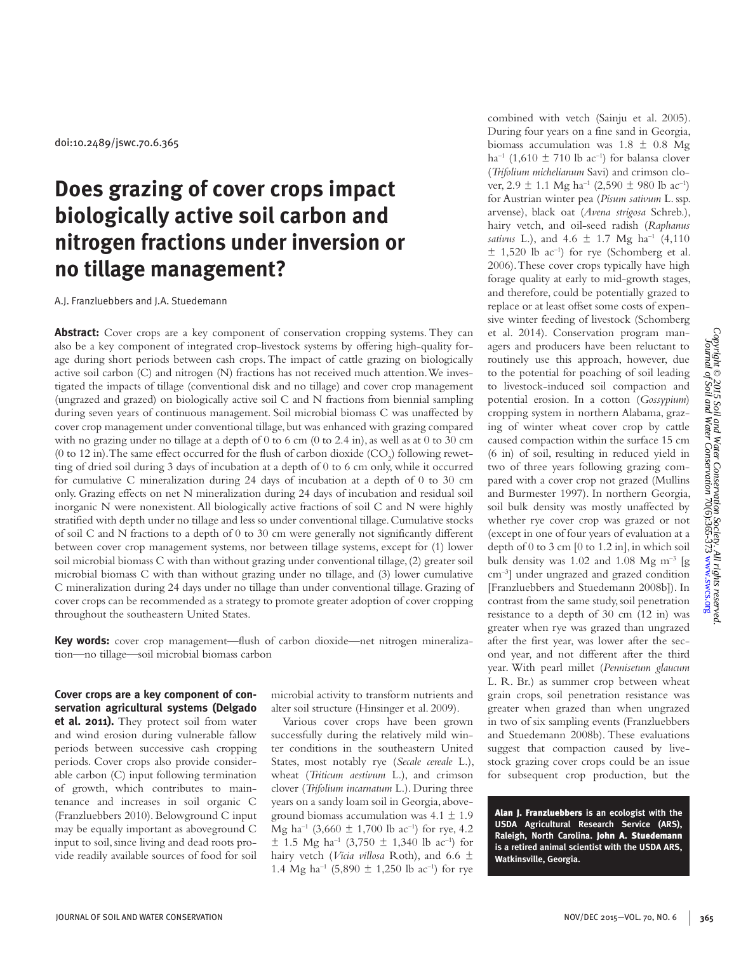doi:10.2489/jswc.70.6.365

# **Does grazing of cover crops impact biologically active soil carbon and nitrogen fractions under inversion or no tillage management?**

A.J. Franzluebbers and J.A. Stuedemann

**Abstract:** Cover crops are a key component of conservation cropping systems. They can also be a key component of integrated crop-livestock systems by offering high-quality forage during short periods between cash crops. The impact of cattle grazing on biologically active soil carbon (C) and nitrogen (N) fractions has not received much attention. We investigated the impacts of tillage (conventional disk and no tillage) and cover crop management (ungrazed and grazed) on biologically active soil C and N fractions from biennial sampling during seven years of continuous management. Soil microbial biomass C was unaffected by cover crop management under conventional tillage, but was enhanced with grazing compared with no grazing under no tillage at a depth of 0 to 6 cm (0 to 2.4 in), as well as at 0 to 30 cm (0 to 12 in). The same effect occurred for the flush of carbon dioxide  $({\rm CO}_2)$  following rewetting of dried soil during 3 days of incubation at a depth of 0 to 6 cm only, while it occurred for cumulative C mineralization during 24 days of incubation at a depth of 0 to 30 cm only. Grazing effects on net N mineralization during 24 days of incubation and residual soil inorganic N were nonexistent. All biologically active fractions of soil C and N were highly stratified with depth under no tillage and less so under conventional tillage. Cumulative stocks of soil C and N fractions to a depth of 0 to 30 cm were generally not significantly different between cover crop management systems, nor between tillage systems, except for (1) lower soil microbial biomass C with than without grazing under conventional tillage, (2) greater soil microbial biomass C with than without grazing under no tillage, and (3) lower cumulative C mineralization during 24 days under no tillage than under conventional tillage. Grazing of cover crops can be recommended as a strategy to promote greater adoption of cover cropping throughout the southeastern United States.

**Key words:** cover crop management—flush of carbon dioxide—net nitrogen mineralization—no tillage—soil microbial biomass carbon

**Cover crops are a key component of conservation agricultural systems (Delgado et al. 2011).** They protect soil from water and wind erosion during vulnerable fallow periods between successive cash cropping periods. Cover crops also provide considerable carbon (C) input following termination of growth, which contributes to maintenance and increases in soil organic C (Franzluebbers 2010). Belowground C input may be equally important as aboveground C input to soil, since living and dead roots provide readily available sources of food for soil microbial activity to transform nutrients and alter soil structure (Hinsinger et al. 2009).

Various cover crops have been grown successfully during the relatively mild winter conditions in the southeastern United States, most notably rye (*Secale cereale* L.), wheat (*Triticum aestivum* L.), and crimson clover (*Trifolium incarnatum* L.). During three years on a sandy loam soil in Georgia, aboveground biomass accumulation was  $4.1 \pm 1.9$ Mg ha<sup>-1</sup> (3,660  $\pm$  1,700 lb ac<sup>-1</sup>) for rye, 4.2  $\pm$  1.5 Mg ha<sup>-1</sup> (3,750  $\pm$  1,340 lb ac<sup>-1</sup>) for hairy vetch (*Vicia villosa* Roth), and 6.6 ± 1.4 Mg ha<sup>-1</sup> (5,890  $\pm$  1,250 lb ac<sup>-1</sup>) for rye combined with vetch (Sainju et al. 2005). During four years on a fine sand in Georgia, biomass accumulation was  $1.8 \pm 0.8$  Mg ha<sup>-1</sup> (1,610  $\pm$  710 lb ac<sup>-1</sup>) for balansa clover (*Trifolium michelianum* Savi) and crimson clover,  $2.9 \pm 1.1$  Mg ha<sup>-1</sup> ( $2.590 \pm 980$  lb ac<sup>-1</sup>) for Austrian winter pea (*Pisum sativum* L. ssp. arvense), black oat (*Avena strigosa* Schreb.), hairy vetch, and oil-seed radish (*Raphanus sativus* L.), and  $4.6 \pm 1.7$  Mg ha<sup>-1</sup> (4,110)  $\pm$  1,520 lb ac<sup>-1</sup>) for rye (Schomberg et al. 2006). These cover crops typically have high forage quality at early to mid-growth stages, and therefore, could be potentially grazed to replace or at least offset some costs of expensive winter feeding of livestock (Schomberg et al. 2014). Conservation program managers and producers have been reluctant to routinely use this approach, however, due to the potential for poaching of soil leading to livestock-induced soil compaction and potential erosion. In a cotton (*Gossypium*) cropping system in northern Alabama, grazing of winter wheat cover crop by cattle caused compaction within the surface 15 cm (6 in) of soil, resulting in reduced yield in two of three years following grazing compared with a cover crop not grazed (Mullins and Burmester 1997). In northern Georgia, soil bulk density was mostly unaffected by whether rye cover crop was grazed or not (except in one of four years of evaluation at a depth of 0 to 3 cm [0 to 1.2 in], in which soil bulk density was 1.02 and 1.08 Mg m–3 [g cm–3] under ungrazed and grazed condition [Franzluebbers and Stuedemann 2008b]). In contrast from the same study, soil penetration resistance to a depth of 30 cm (12 in) was greater when rye was grazed than ungrazed after the first year, was lower after the second year, and not different after the third year. With pearl millet (*Pennisetum glaucum* L. R. Br.) as summer crop between wheat grain crops, soil penetration resistance was greater when grazed than when ungrazed in two of six sampling events (Franzluebbers and Stuedemann 2008b). These evaluations suggest that compaction caused by livestock grazing cover crops could be an issue for subsequent crop production, but the

Alan J. Franzluebbers **is an ecologist with the USDA Agricultural Research Service (ARS), Raleigh, North Carolina.** John A. Stuedemann **is a retired animal scientist with the USDA ARS, Watkinsville, Georgia.**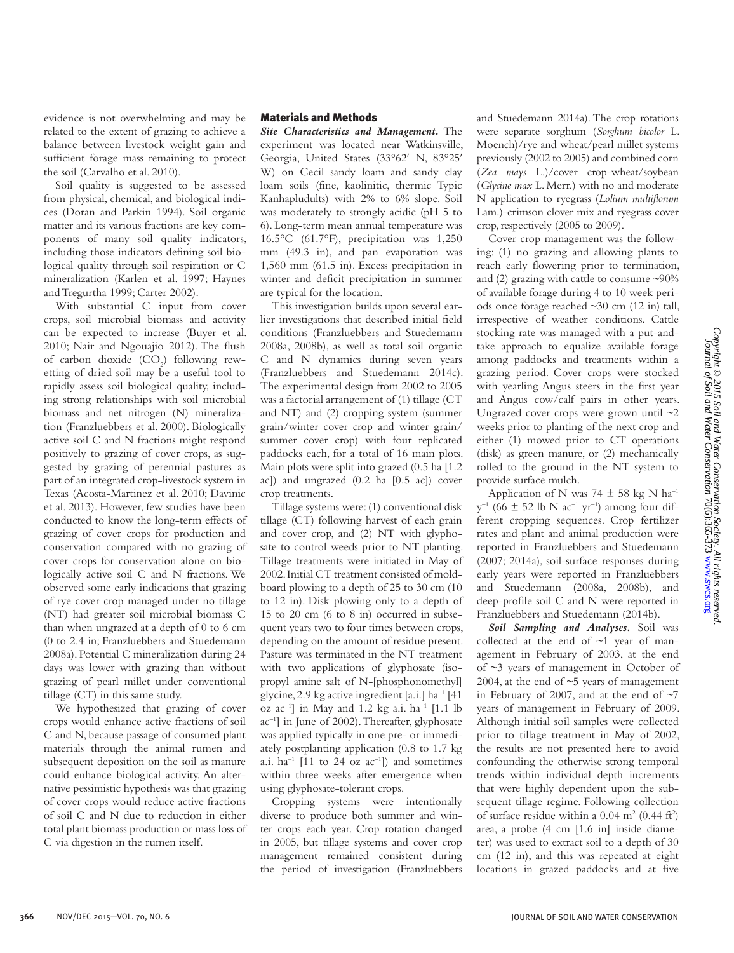evidence is not overwhelming and may be related to the extent of grazing to achieve a balance between livestock weight gain and sufficient forage mass remaining to protect the soil (Carvalho et al. 2010).

Soil quality is suggested to be assessed from physical, chemical, and biological indices (Doran and Parkin 1994). Soil organic matter and its various fractions are key components of many soil quality indicators, including those indicators defining soil biological quality through soil respiration or C mineralization (Karlen et al. 1997; Haynes and Tregurtha 1999; Carter 2002).

With substantial C input from cover crops, soil microbial biomass and activity can be expected to increase (Buyer et al. 2010; Nair and Ngouajio 2012). The flush of carbon dioxide (CO<sub>2</sub>) following rewetting of dried soil may be a useful tool to rapidly assess soil biological quality, including strong relationships with soil microbial biomass and net nitrogen (N) mineralization (Franzluebbers et al. 2000). Biologically active soil C and N fractions might respond positively to grazing of cover crops, as suggested by grazing of perennial pastures as part of an integrated crop-livestock system in Texas (Acosta-Martinez et al. 2010; Davinic et al. 2013). However, few studies have been conducted to know the long-term effects of grazing of cover crops for production and conservation compared with no grazing of cover crops for conservation alone on biologically active soil C and N fractions. We observed some early indications that grazing of rye cover crop managed under no tillage (NT) had greater soil microbial biomass C than when ungrazed at a depth of  $0$  to  $6 \text{ cm}$ (0 to 2.4 in; Franzluebbers and Stuedemann 2008a). Potential C mineralization during 24 days was lower with grazing than without grazing of pearl millet under conventional tillage (CT) in this same study.

We hypothesized that grazing of cover crops would enhance active fractions of soil C and N, because passage of consumed plant materials through the animal rumen and subsequent deposition on the soil as manure could enhance biological activity. An alternative pessimistic hypothesis was that grazing of cover crops would reduce active fractions of soil C and N due to reduction in either total plant biomass production or mass loss of C via digestion in the rumen itself.

#### Materials and Methods

*Site Characteristics and Management.* The experiment was located near Watkinsville, Georgia, United States (33°62′ N, 83°25′ W) on Cecil sandy loam and sandy clay loam soils (fine, kaolinitic, thermic Typic Kanhapludults) with 2% to 6% slope. Soil was moderately to strongly acidic (pH 5 to 6). Long-term mean annual temperature was 16.5°C (61.7°F), precipitation was 1,250 mm (49.3 in), and pan evaporation was 1,560 mm (61.5 in). Excess precipitation in winter and deficit precipitation in summer are typical for the location.

This investigation builds upon several earlier investigations that described initial field conditions (Franzluebbers and Stuedemann 2008a, 2008b), as well as total soil organic C and N dynamics during seven years (Franzluebbers and Stuedemann 2014c). The experimental design from 2002 to 2005 was a factorial arrangement of (1) tillage (CT) and NT) and (2) cropping system (summer grain/winter cover crop and winter grain/ summer cover crop) with four replicated paddocks each, for a total of 16 main plots. Main plots were split into grazed (0.5 ha [1.2 ac]) and ungrazed (0.2 ha [0.5 ac]) cover crop treatments.

Tillage systems were: (1) conventional disk tillage (CT) following harvest of each grain and cover crop, and (2) NT with glyphosate to control weeds prior to NT planting. Tillage treatments were initiated in May of 2002. Initial CT treatment consisted of moldboard plowing to a depth of 25 to 30 cm (10 to 12 in). Disk plowing only to a depth of 15 to 20 cm (6 to 8 in) occurred in subsequent years two to four times between crops, depending on the amount of residue present. Pasture was terminated in the NT treatment with two applications of glyphosate (isopropyl amine salt of N-[phosphonomethyl] glycine, 2.9 kg active ingredient [a.i.] ha<sup>-1</sup> [41] oz  $ac^{-1}$ ] in May and 1.2 kg a.i. ha<sup>-1</sup> [1.1 lb  $ac^{-1}$ ] in June of 2002). Thereafter, glyphosate was applied typically in one pre- or immediately postplanting application (0.8 to 1.7 kg a.i.  $ha^{-1}$  [11 to 24 oz  $ac^{-1}$ ]) and sometimes within three weeks after emergence when using glyphosate-tolerant crops.

Cropping systems were intentionally diverse to produce both summer and winter crops each year. Crop rotation changed in 2005, but tillage systems and cover crop management remained consistent during the period of investigation (Franzluebbers

and Stuedemann 2014a). The crop rotations were separate sorghum (*Sorghum bicolor* L. Moench)/rye and wheat/pearl millet systems previously (2002 to 2005) and combined corn (*Zea mays* L.)/cover crop-wheat/soybean (*Glycine max* L. Merr.) with no and moderate N application to ryegrass (*Lolium multiflorum* Lam.)-crimson clover mix and ryegrass cover crop, respectively (2005 to 2009).

Cover crop management was the following: (1) no grazing and allowing plants to reach early flowering prior to termination, and  $(2)$  grazing with cattle to consume  $\sim 90\%$ of available forage during 4 to 10 week periods once forage reached ~30 cm (12 in) tall, irrespective of weather conditions. Cattle stocking rate was managed with a put-andtake approach to equalize available forage among paddocks and treatments within a grazing period. Cover crops were stocked with yearling Angus steers in the first year and Angus cow/calf pairs in other years. Ungrazed cover crops were grown until  $\sim$ 2 weeks prior to planting of the next crop and either (1) mowed prior to CT operations (disk) as green manure, or (2) mechanically rolled to the ground in the NT system to provide surface mulch.

Application of N was 74  $\pm$  58 kg N ha<sup>-1</sup>  $y^{-1}$  (66  $\pm$  52 lb N ac<sup>-1</sup> yr<sup>-1</sup>) among four different cropping sequences. Crop fertilizer rates and plant and animal production were reported in Franzluebbers and Stuedemann (2007; 2014a), soil-surface responses during early years were reported in Franzluebbers and Stuedemann (2008a, 2008b), and deep-profile soil C and N were reported in Franzluebbers and Stuedemann (2014b).

*Soil Sampling and Analyses.* Soil was collected at the end of  $\neg$ 1 year of management in February of 2003, at the end of ~3 years of management in October of 2004, at the end of  $\neg 5$  years of management in February of 2007, and at the end of  $\sim$ 7 years of management in February of 2009. Although initial soil samples were collected prior to tillage treatment in May of 2002, the results are not presented here to avoid confounding the otherwise strong temporal trends within individual depth increments that were highly dependent upon the subsequent tillage regime. Following collection of surface residue within a  $0.04 \text{ m}^2 (0.44 \text{ ft}^2)$ area, a probe (4 cm [1.6 in] inside diameter) was used to extract soil to a depth of 30 cm (12 in), and this was repeated at eight locations in grazed paddocks and at five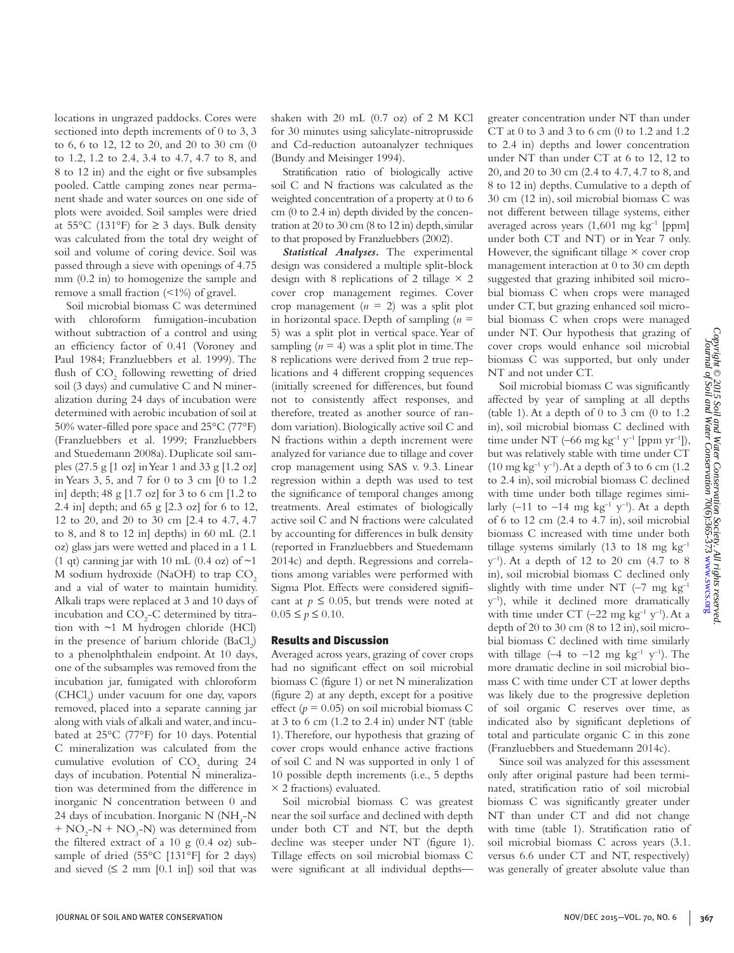locations in ungrazed paddocks. Cores were sectioned into depth increments of 0 to 3, 3 to 6, 6 to 12, 12 to 20, and 20 to 30 cm (0 to 1.2, 1.2 to 2.4, 3.4 to 4.7, 4.7 to 8, and 8 to 12 in) and the eight or five subsamples pooled. Cattle camping zones near permanent shade and water sources on one side of plots were avoided. Soil samples were dried at 55°C (131°F) for  $\geq$  3 days. Bulk density was calculated from the total dry weight of soil and volume of coring device. Soil was passed through a sieve with openings of 4.75 mm (0.2 in) to homogenize the sample and remove a small fraction (<1%) of gravel.

Soil microbial biomass C was determined with chloroform fumigation-incubation without subtraction of a control and using an efficiency factor of 0.41 (Voroney and Paul 1984; Franzluebbers et al. 1999). The flush of  $CO<sub>2</sub>$  following rewetting of dried soil (3 days) and cumulative C and N mineralization during 24 days of incubation were determined with aerobic incubation of soil at 50% water-filled pore space and 25°C (77°F) (Franzluebbers et al. 1999; Franzluebbers and Stuedemann 2008a). Duplicate soil samples (27.5 g [1 oz] in Year 1 and 33 g [1.2 oz] in Years 3, 5, and 7 for 0 to 3 cm [0 to 1.2 in] depth; 48 g [1.7 oz] for 3 to 6 cm [1.2 to 2.4 in] depth; and 65 g [2.3 oz] for 6 to 12, 12 to 20, and 20 to 30 cm [2.4 to 4.7, 4.7 to 8, and 8 to 12 in] depths) in 60 mL (2.1 oz) glass jars were wetted and placed in a 1 L (1 qt) canning jar with 10 mL (0.4 oz) of  $\sim$ 1 M sodium hydroxide (NaOH) to trap CO<sub>2</sub> and a vial of water to maintain humidity. Alkali traps were replaced at 3 and 10 days of incubation and  $CO_2$ -C determined by titration with ~1 M hydrogen chloride (HCl) in the presence of barium chloride  $(BaCl<sub>2</sub>)$ to a phenolphthalein endpoint. At 10 days, one of the subsamples was removed from the incubation jar, fumigated with chloroform (CHCl<sub>3</sub>) under vacuum for one day, vapors removed, placed into a separate canning jar along with vials of alkali and water, and incubated at 25°C (77°F) for 10 days. Potential C mineralization was calculated from the cumulative evolution of  $CO<sub>2</sub>$  during 24 days of incubation. Potential N mineralization was determined from the difference in inorganic N concentration between 0 and 24 days of incubation. Inorganic N (NH<sub>4</sub>-N +  $NO_2$ - $N$  +  $NO_3$ - $N$ ) was determined from the filtered extract of a 10 g (0.4 oz) subsample of dried (55°C [131°F] for 2 days) and sieved  $(≤ 2 mm [0.1 in])$  soil that was

shaken with 20 mL (0.7 oz) of 2 M KCl for 30 minutes using salicylate-nitroprusside and Cd-reduction autoanalyzer techniques (Bundy and Meisinger 1994).

Stratification ratio of biologically active soil C and N fractions was calculated as the weighted concentration of a property at 0 to 6 cm (0 to 2.4 in) depth divided by the concentration at 20 to 30 cm (8 to 12 in) depth, similar to that proposed by Franzluebbers (2002).

*Statistical Analyses.* The experimental design was considered a multiple split-block design with 8 replications of 2 tillage  $\times$  2 cover crop management regimes. Cover crop management (*n* = 2) was a split plot in horizontal space. Depth of sampling (*n* = 5) was a split plot in vertical space. Year of sampling  $(n = 4)$  was a split plot in time. The 8 replications were derived from 2 true replications and 4 different cropping sequences (initially screened for differences, but found not to consistently affect responses, and therefore, treated as another source of random variation). Biologically active soil C and N fractions within a depth increment were analyzed for variance due to tillage and cover crop management using SAS v. 9.3. Linear regression within a depth was used to test the significance of temporal changes among treatments. Areal estimates of biologically active soil C and N fractions were calculated by accounting for differences in bulk density (reported in Franzluebbers and Stuedemann 2014c) and depth. Regressions and correlations among variables were performed with Sigma Plot. Effects were considered significant at  $p \leq 0.05$ , but trends were noted at  $0.05 ≤ p ≤ 0.10$ .

#### Results and Discussion

Averaged across years, grazing of cover crops had no significant effect on soil microbial biomass C (figure 1) or net N mineralization (figure 2) at any depth, except for a positive effect ( $p = 0.05$ ) on soil microbial biomass C at 3 to 6 cm (1.2 to 2.4 in) under NT (table 1). Therefore, our hypothesis that grazing of cover crops would enhance active fractions of soil C and N was supported in only 1 of 10 possible depth increments (i.e., 5 depths × 2 fractions) evaluated.

Soil microbial biomass C was greatest near the soil surface and declined with depth under both CT and NT, but the depth decline was steeper under NT (figure 1). Tillage effects on soil microbial biomass C were significant at all individual depths—

greater concentration under NT than under CT at 0 to 3 and 3 to 6 cm (0 to 1.2 and 1.2 to 2.4 in) depths and lower concentration under NT than under CT at 6 to 12, 12 to 20, and 20 to 30 cm (2.4 to 4.7, 4.7 to 8, and 8 to 12 in) depths. Cumulative to a depth of 30 cm (12 in), soil microbial biomass C was not different between tillage systems, either averaged across years  $(1,601 \text{ mg kg}^{-1}$  [ppm] under both CT and NT) or in Year 7 only. However, the significant tillage  $\times$  cover crop management interaction at 0 to 30 cm depth suggested that grazing inhibited soil microbial biomass C when crops were managed under CT, but grazing enhanced soil microbial biomass C when crops were managed under NT. Our hypothesis that grazing of cover crops would enhance soil microbial biomass C was supported, but only under NT and not under CT.

Soil microbial biomass C was significantly affected by year of sampling at all depths (table 1). At a depth of 0 to 3 cm (0 to  $1.2$ ) in), soil microbial biomass C declined with time under NT  $(-66 \text{ mg kg}^{-1} \text{ y}^{-1} \text{ [ppm yr}^{-1}]),$ but was relatively stable with time under CT (10 mg kg<sup>-1</sup> y<sup>-1</sup>). At a depth of 3 to 6 cm (1.2) to 2.4 in), soil microbial biomass C declined with time under both tillage regimes similarly  $(-11$  to  $-14$  mg kg<sup>-1</sup> y<sup>-1</sup>). At a depth of 6 to 12 cm (2.4 to 4.7 in), soil microbial biomass C increased with time under both tillage systems similarly (13 to 18 mg  $kg^{-1}$ y–1). At a depth of 12 to 20 cm (4.7 to 8 in), soil microbial biomass C declined only slightly with time under NT  $(-7 \text{ mg kg}^{-1})$  $y^{-1}$ ), while it declined more dramatically with time under CT  $(-22 \text{ mg kg}^{-1} \text{ y}^{-1})$ . At a depth of 20 to 30 cm (8 to 12 in), soil microbial biomass C declined with time similarly with tillage  $(-4 \text{ to } -12 \text{ mg kg}^{-1} \text{ y}^{-1})$ . The more dramatic decline in soil microbial biomass C with time under CT at lower depths was likely due to the progressive depletion of soil organic C reserves over time, as indicated also by significant depletions of total and particulate organic C in this zone (Franzluebbers and Stuedemann 2014c).

Since soil was analyzed for this assessment only after original pasture had been terminated, stratification ratio of soil microbial biomass C was significantly greater under NT than under CT and did not change with time (table 1). Stratification ratio of soil microbial biomass C across years (3.1. versus 6.6 under CT and NT, respectively) was generally of greater absolute value than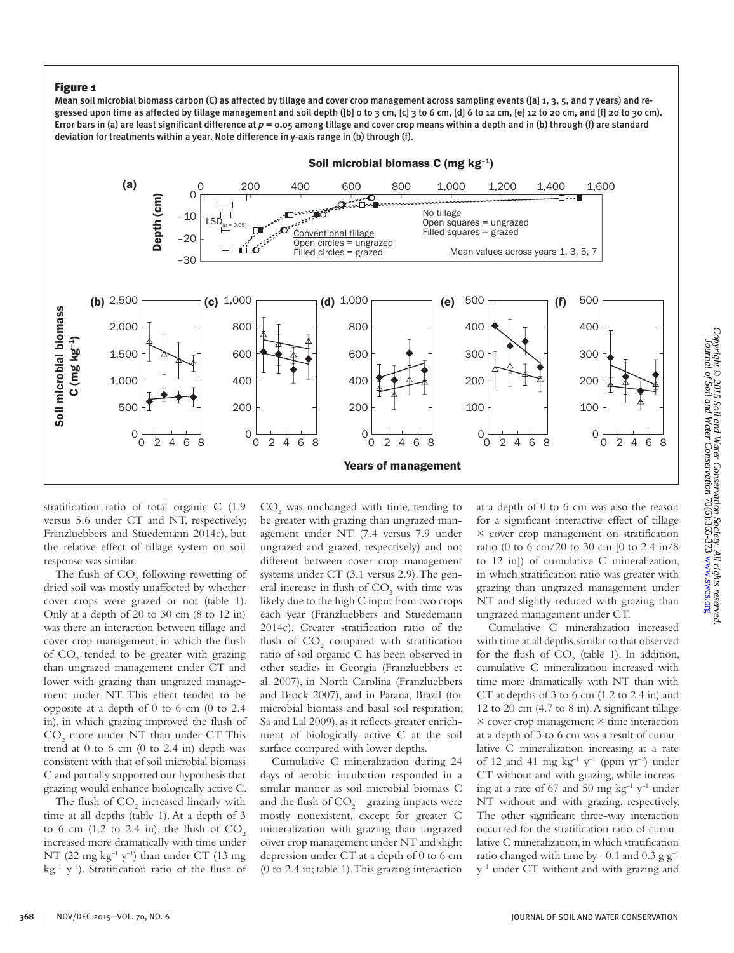#### Figure 1

Mean soil microbial biomass carbon (C) as affected by tillage and cover crop management across sampling events ([a] 1, 3, 5, and 7 years) and regressed upon time as affected by tillage management and soil depth ([b] 0 to 3 cm, [c] 3 to 6 cm, [d] 6 to 12 cm, [e] 12 to 20 cm, and [f] 20 to 30 cm). Error bars in (a) are least significant difference at *p* = 0.05 among tillage and cover crop means within a depth and in (b) through (f) are standard deviation for treatments within a year. Note difference in y-axis range in (b) through (f).



stratification ratio of total organic C (1.9 versus 5.6 under CT and NT, respectively; Franzluebbers and Stuedemann 2014c), but the relative effect of tillage system on soil response was similar.

The flush of  $CO<sub>2</sub>$  following rewetting of dried soil was mostly unaffected by whether cover crops were grazed or not (table 1). Only at a depth of 20 to 30 cm (8 to 12 in) was there an interaction between tillage and cover crop management, in which the flush of  $CO<sub>2</sub>$  tended to be greater with grazing than ungrazed management under CT and lower with grazing than ungrazed management under NT. This effect tended to be opposite at a depth of 0 to 6 cm (0 to 2.4 in), in which grazing improved the flush of  $\mathrm{CO}_2$  more under NT than under CT. This trend at 0 to 6 cm (0 to 2.4 in) depth was consistent with that of soil microbial biomass C and partially supported our hypothesis that grazing would enhance biologically active C.

The flush of  $\mathrm{CO}_2$  increased linearly with time at all depths (table 1). At a depth of 3 to 6 cm  $(1.2 \text{ to } 2.4 \text{ in})$ , the flush of  $CO<sub>2</sub>$ increased more dramatically with time under NT (22 mg kg<sup>-1</sup> y<sup>-1</sup>) than under CT (13 mg  $kg^{-1}$  y<sup>-1</sup>). Stratification ratio of the flush of

 $CO<sub>2</sub>$  was unchanged with time, tending to be greater with grazing than ungrazed management under NT (7.4 versus 7.9 under ungrazed and grazed, respectively) and not different between cover crop management systems under CT (3.1 versus 2.9). The general increase in flush of  $CO<sub>2</sub>$  with time was likely due to the high C input from two crops each year (Franzluebbers and Stuedemann 2014c). Greater stratification ratio of the flush of  $CO<sub>2</sub>$  compared with stratification ratio of soil organic C has been observed in other studies in Georgia (Franzluebbers et al. 2007), in North Carolina (Franzluebbers and Brock 2007), and in Parana, Brazil (for microbial biomass and basal soil respiration; Sa and Lal 2009), as it reflects greater enrichment of biologically active C at the soil surface compared with lower depths.

Cumulative C mineralization during 24 days of aerobic incubation responded in a similar manner as soil microbial biomass C and the flush of  $\mathrm{CO}_2$ —grazing impacts were mostly nonexistent, except for greater C mineralization with grazing than ungrazed cover crop management under NT and slight depression under CT at a depth of 0 to 6 cm (0 to 2.4 in; table 1). This grazing interaction

at a depth of 0 to 6 cm was also the reason for a significant interactive effect of tillage × cover crop management on stratification ratio (0 to 6 cm/20 to 30 cm [0 to 2.4 in/8 to 12 in]) of cumulative C mineralization, in which stratification ratio was greater with grazing than ungrazed management under NT and slightly reduced with grazing than ungrazed management under CT.

Cumulative C mineralization increased with time at all depths, similar to that observed for the flush of  $CO<sub>2</sub>$  (table 1). In addition, cumulative C mineralization increased with time more dramatically with NT than with CT at depths of 3 to 6 cm (1.2 to 2.4 in) and 12 to 20 cm (4.7 to 8 in). A significant tillage  $\times$  cover crop management  $\times$  time interaction at a depth of 3 to 6 cm was a result of cumulative C mineralization increasing at a rate of 12 and 41 mg  $kg^{-1} y^{-1}$  (ppm yr<sup>-1</sup>) under CT without and with grazing, while increasing at a rate of 67 and 50 mg  $kg^{-1} y^{-1}$  under NT without and with grazing, respectively. The other significant three-way interaction occurred for the stratification ratio of cumulative C mineralization, in which stratification ratio changed with time by –0.1 and 0.3 g  $g^{-1}$ y–1 under CT without and with grazing and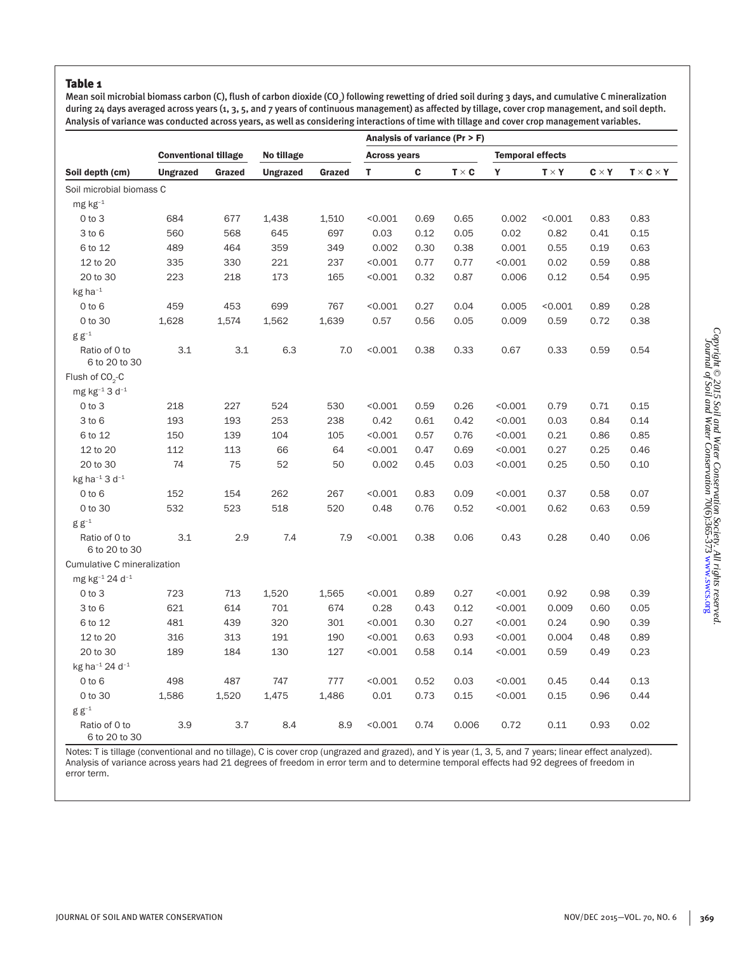## Table 1

Mean soil microbial biomass carbon (C), flush of carbon dioxide (CO $_{_2}$ ) following rewetting of dried soil during 3 days, and cumulative C mineralization during 24 days averaged across years (1, 3, 5, and 7 years of continuous management) as affected by tillage, cover crop management, and soil depth. Analysis of variance was conducted across years, as well as considering interactions of time with tillage and cover crop management variables.

|                                |                             |        | Analysis of variance ( $Pr > F$ ) |        |                     |      |                              |                         |              |              |                       |
|--------------------------------|-----------------------------|--------|-----------------------------------|--------|---------------------|------|------------------------------|-------------------------|--------------|--------------|-----------------------|
|                                | <b>Conventional tillage</b> |        | No tillage                        |        | <b>Across years</b> |      |                              | <b>Temporal effects</b> |              |              |                       |
| Soil depth (cm)                | <b>Ungrazed</b>             | Grazed | <b>Ungrazed</b>                   | Grazed | T                   | C    | $\mathbf{T}\times\mathbf{C}$ | Y                       | $T \times Y$ | $C \times Y$ | $T \times C \times Y$ |
| Soil microbial biomass C       |                             |        |                                   |        |                     |      |                              |                         |              |              |                       |
| $mg$ kg <sup>-1</sup>          |                             |        |                                   |        |                     |      |                              |                         |              |              |                       |
| $0$ to $3$                     | 684                         | 677    | 1,438                             | 1,510  | < 0.001             | 0.69 | 0.65                         | 0.002                   | < 0.001      | 0.83         | 0.83                  |
| $3$ to $6$                     | 560                         | 568    | 645                               | 697    | 0.03                | 0.12 | 0.05                         | 0.02                    | 0.82         | 0.41         | 0.15                  |
| 6 to 12                        | 489                         | 464    | 359                               | 349    | 0.002               | 0.30 | 0.38                         | 0.001                   | 0.55         | 0.19         | 0.63                  |
| 12 to 20                       | 335                         | 330    | 221                               | 237    | < 0.001             | 0.77 | 0.77                         | < 0.001                 | 0.02         | 0.59         | 0.88                  |
| 20 to 30                       | 223                         | 218    | 173                               | 165    | < 0.001             | 0.32 | 0.87                         | 0.006                   | 0.12         | 0.54         | 0.95                  |
| kg ha <sup>-1</sup>            |                             |        |                                   |        |                     |      |                              |                         |              |              |                       |
| $0$ to $6$                     | 459                         | 453    | 699                               | 767    | < 0.001             | 0.27 | 0.04                         | 0.005                   | < 0.001      | 0.89         | 0.28                  |
| 0 to 30                        | 1,628                       | 1,574  | 1,562                             | 1,639  | 0.57                | 0.56 | 0.05                         | 0.009                   | 0.59         | 0.72         | 0.38                  |
| $g g^{-1}$                     |                             |        |                                   |        |                     |      |                              |                         |              |              |                       |
| Ratio of 0 to<br>6 to 20 to 30 | 3.1                         | 3.1    | 6.3                               | 7.0    | < 0.001             | 0.38 | 0.33                         | 0.67                    | 0.33         | 0.59         | 0.54                  |
| Flush of CO <sub>2</sub> -C    |                             |        |                                   |        |                     |      |                              |                         |              |              |                       |
| mg $kg^{-1}$ 3 d <sup>-1</sup> |                             |        |                                   |        |                     |      |                              |                         |              |              |                       |
| $0$ to $3$                     | 218                         | 227    | 524                               | 530    | < 0.001             | 0.59 | 0.26                         | < 0.001                 | 0.79         | 0.71         | 0.15                  |
| 3 to 6                         | 193                         | 193    | 253                               | 238    | 0.42                | 0.61 | 0.42                         | < 0.001                 | 0.03         | 0.84         | 0.14                  |
| 6 to 12                        | 150                         | 139    | 104                               | 105    | < 0.001             | 0.57 | 0.76                         | < 0.001                 | 0.21         | 0.86         | 0.85                  |
| 12 to 20                       | 112                         | 113    | 66                                | 64     | < 0.001             | 0.47 | 0.69                         | < 0.001                 | 0.27         | 0.25         | 0.46                  |
| 20 to 30                       | 74                          | 75     | 52                                | 50     | 0.002               | 0.45 | 0.03                         | < 0.001                 | 0.25         | 0.50         | 0.10                  |
| kg ha $^{-1}$ 3 d $^{-1}$      |                             |        |                                   |        |                     |      |                              |                         |              |              |                       |
| $0$ to $6$                     | 152                         | 154    | 262                               | 267    | < 0.001             | 0.83 | 0.09                         | < 0.001                 | 0.37         | 0.58         | 0.07                  |
| 0 to 30                        | 532                         | 523    | 518                               | 520    | 0.48                | 0.76 | 0.52                         | < 0.001                 | 0.62         | 0.63         | 0.59                  |
| $g g^{-1}$                     |                             |        |                                   |        |                     |      |                              |                         |              |              |                       |
| Ratio of 0 to<br>6 to 20 to 30 | 3.1                         | 2.9    | 7.4                               | 7.9    | < 0.001             | 0.38 | 0.06                         | 0.43                    | 0.28         | 0.40         | 0.06                  |
| Cumulative C mineralization    |                             |        |                                   |        |                     |      |                              |                         |              |              |                       |
| mg kg-1 24 d-1                 |                             |        |                                   |        |                     |      |                              |                         |              |              |                       |
| $0$ to $3$                     | 723                         | 713    | 1,520                             | 1,565  | < 0.001             | 0.89 | 0.27                         | < 0.001                 | 0.92         | 0.98         | 0.39                  |
| $3$ to $6$                     | 621                         | 614    | 701                               | 674    | 0.28                | 0.43 | 0.12                         | < 0.001                 | 0.009        | 0.60         | 0.05                  |
| 6 to 12                        | 481                         | 439    | 320                               | 301    | < 0.001             | 0.30 | 0.27                         | < 0.001                 | 0.24         | 0.90         | 0.39                  |
| 12 to 20                       | 316                         | 313    | 191                               | 190    | < 0.001             | 0.63 | 0.93                         | < 0.001                 | 0.004        | 0.48         | 0.89                  |
| 20 to 30                       | 189                         | 184    | 130                               | 127    | < 0.001             | 0.58 | 0.14                         | < 0.001                 | 0.59         | 0.49         | 0.23                  |
| kg ha $^{-1}$ 24 d $^{-1}$     |                             |        |                                   |        |                     |      |                              |                         |              |              |                       |
| $0$ to $6$                     | 498                         | 487    | 747                               | 777    | < 0.001             | 0.52 | 0.03                         | < 0.001                 | 0.45         | 0.44         | 0.13                  |
| 0 to 30                        | 1,586                       | 1,520  | 1,475                             | 1,486  | 0.01                | 0.73 | 0.15                         | < 0.001                 | 0.15         | 0.96         | 0.44                  |
| $g g^{-1}$                     |                             |        |                                   |        |                     |      |                              |                         |              |              |                       |
| Ratio of 0 to<br>6 to 20 to 30 | 3.9                         | 3.7    | 8.4                               | 8.9    | < 0.001             | 0.74 | 0.006                        | 0.72                    | 0.11         | 0.93         | 0.02                  |

Notes: T is tillage (conventional and no tillage), C is cover crop (ungrazed and grazed), and Y is year (1, 3, 5, and 7 years; linear effect analyzed). Analysis of variance across years had 21 degrees of freedom in error term and to determine temporal effects had 92 degrees of freedom in error term.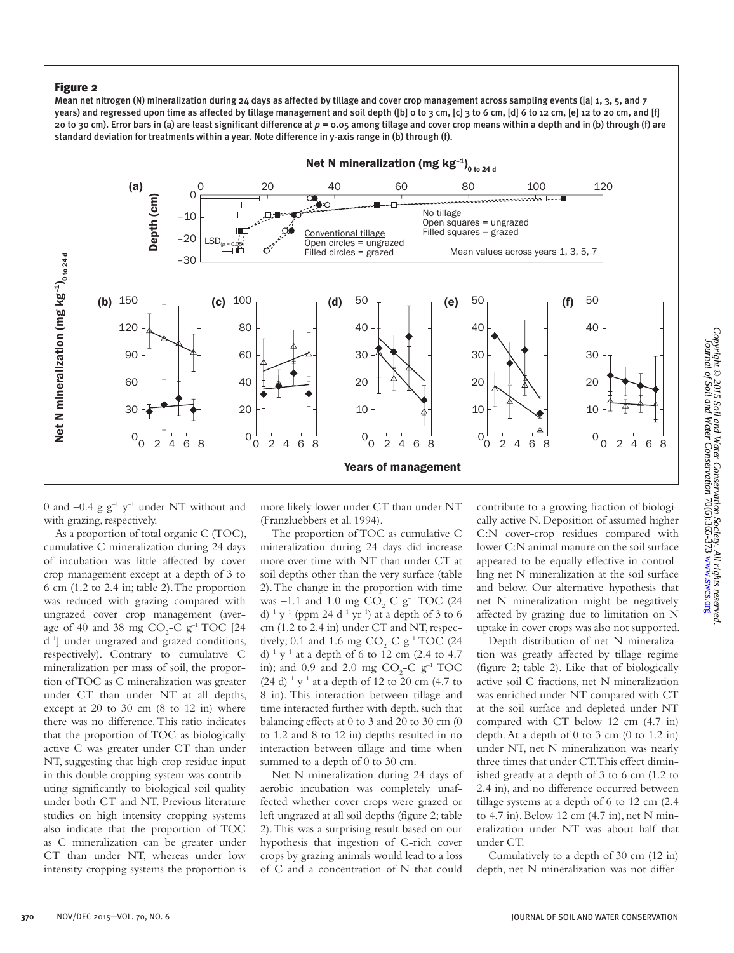#### Figure 2

Mean net nitrogen (N) mineralization during 24 days as affected by tillage and cover crop management across sampling events ([a] 1, 3, 5, and 7 years) and regressed upon time as affected by tillage management and soil depth ([b] o to 3 cm, [c] 3 to 6 cm, [d] 6 to 12 cm, [e] 12 to 20 cm, and [f] 20 to 30 cm). Error bars in (a) are least significant difference at *p* = 0.05 among tillage and cover crop means within a depth and in (b) through (f) are standard deviation for treatments within a year. Note difference in y-axis range in (b) through (f).



0 and –0.4 g  $g^{-1}$  y<sup>-1</sup> under NT without and with grazing, respectively.

As a proportion of total organic C (TOC), cumulative C mineralization during 24 days of incubation was little affected by cover crop management except at a depth of 3 to 6 cm (1.2 to 2.4 in; table 2). The proportion was reduced with grazing compared with ungrazed cover crop management (average of 40 and 38 mg  $CO_2$ -C  $g^{-1}$  TOC [24 d–1] under ungrazed and grazed conditions, respectively). Contrary to cumulative C mineralization per mass of soil, the proportion of TOC as C mineralization was greater under CT than under NT at all depths, except at 20 to 30 cm (8 to 12 in) where there was no difference. This ratio indicates that the proportion of TOC as biologically active C was greater under CT than under NT, suggesting that high crop residue input in this double cropping system was contributing significantly to biological soil quality under both CT and NT. Previous literature studies on high intensity cropping systems also indicate that the proportion of TOC as C mineralization can be greater under CT than under NT, whereas under low intensity cropping systems the proportion is

more likely lower under CT than under NT (Franzluebbers et al. 1994).

The proportion of TOC as cumulative C mineralization during 24 days did increase more over time with NT than under CT at soil depths other than the very surface (table 2). The change in the proportion with time was  $-1.1$  and 1.0 mg  $CO_2$ -C g<sup>-1</sup> TOC (24 d)<sup>-1</sup> y<sup>-1</sup> (ppm 24 d<sup>-1</sup> yr<sup>-1</sup>) at a depth of 3 to 6 cm (1.2 to 2.4 in) under CT and NT, respectively; 0.1 and 1.6 mg  $CO_2$ -C g<sup>-1</sup> TOC (24 d)<sup>-1</sup> y<sup>-1</sup> at a depth of 6 to 12 cm (2.4 to 4.7 in); and 0.9 and 2.0 mg  $CO_2$ -C  $g^{-1}$  TOC  $(24 d)^{-1}$  y<sup>-1</sup> at a depth of 12 to 20 cm (4.7 to 8 in). This interaction between tillage and time interacted further with depth, such that balancing effects at 0 to 3 and 20 to 30 cm (0 to 1.2 and 8 to 12 in) depths resulted in no interaction between tillage and time when summed to a depth of 0 to 30 cm.

Net N mineralization during 24 days of aerobic incubation was completely unaffected whether cover crops were grazed or left ungrazed at all soil depths (figure 2; table 2). This was a surprising result based on our hypothesis that ingestion of C-rich cover crops by grazing animals would lead to a loss of C and a concentration of N that could

contribute to a growing fraction of biologically active N. Deposition of assumed higher C:N cover-crop residues compared with lower C:N animal manure on the soil surface appeared to be equally effective in controlling net N mineralization at the soil surface and below. Our alternative hypothesis that net N mineralization might be negatively affected by grazing due to limitation on N uptake in cover crops was also not supported.

Depth distribution of net N mineralization was greatly affected by tillage regime (figure 2; table 2). Like that of biologically active soil C fractions, net N mineralization was enriched under NT compared with CT at the soil surface and depleted under NT compared with CT below 12 cm (4.7 in) depth. At a depth of  $0$  to  $3 \text{ cm } (0 \text{ to } 1.2 \text{ in})$ under NT, net N mineralization was nearly three times that under CT. This effect diminished greatly at a depth of 3 to 6 cm (1.2 to 2.4 in), and no difference occurred between tillage systems at a depth of 6 to 12 cm (2.4 to 4.7 in). Below 12 cm (4.7 in), net N mineralization under NT was about half that under CT.

Cumulatively to a depth of 30 cm (12 in) depth, net N mineralization was not differ-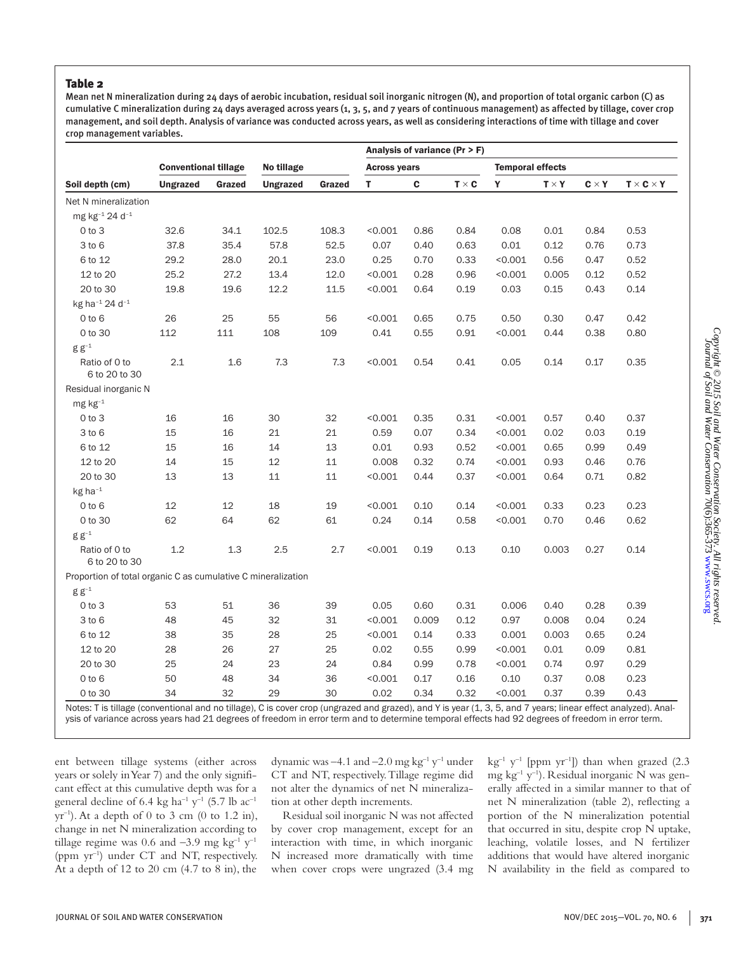### Table 2

Mean net N mineralization during 24 days of aerobic incubation, residual soil inorganic nitrogen (N), and proportion of total organic carbon (C) as cumulative C mineralization during 24 days averaged across years (1, 3, 5, and 7 years of continuous management) as affected by tillage, cover crop management, and soil depth. Analysis of variance was conducted across years, as well as considering interactions of time with tillage and cover crop management variables.

|                                                              |                             |        |                 |        | Analysis of variance ( $Pr > F$ ) |             |              |                         |              |              |                       |  |
|--------------------------------------------------------------|-----------------------------|--------|-----------------|--------|-----------------------------------|-------------|--------------|-------------------------|--------------|--------------|-----------------------|--|
| Soil depth (cm)                                              | <b>Conventional tillage</b> |        | No tillage      |        | <b>Across years</b>               |             |              | <b>Temporal effects</b> |              |              |                       |  |
|                                                              | <b>Ungrazed</b>             | Grazed | <b>Ungrazed</b> | Grazed | T                                 | $\mathbf c$ | $T \times C$ | Υ                       | $T \times Y$ | $C \times Y$ | $T \times C \times Y$ |  |
| Net N mineralization                                         |                             |        |                 |        |                                   |             |              |                         |              |              |                       |  |
| mg kg-1 24 d-1                                               |                             |        |                 |        |                                   |             |              |                         |              |              |                       |  |
| $0$ to $3$                                                   | 32.6                        | 34.1   | 102.5           | 108.3  | < 0.001                           | 0.86        | 0.84         | 0.08                    | 0.01         | 0.84         | 0.53                  |  |
| $3$ to $6$                                                   | 37.8                        | 35.4   | 57.8            | 52.5   | 0.07                              | 0.40        | 0.63         | 0.01                    | 0.12         | 0.76         | 0.73                  |  |
| 6 to 12                                                      | 29.2                        | 28.0   | 20.1            | 23.0   | 0.25                              | 0.70        | 0.33         | < 0.001                 | 0.56         | 0.47         | 0.52                  |  |
| 12 to 20                                                     | 25.2                        | 27.2   | 13.4            | 12.0   | < 0.001                           | 0.28        | 0.96         | < 0.001                 | 0.005        | 0.12         | 0.52                  |  |
| 20 to 30                                                     | 19.8                        | 19.6   | 12.2            | 11.5   | < 0.001                           | 0.64        | 0.19         | 0.03                    | 0.15         | 0.43         | 0.14                  |  |
| kg ha-1 24 d-1                                               |                             |        |                 |        |                                   |             |              |                         |              |              |                       |  |
| $0$ to $6$                                                   | 26                          | 25     | 55              | 56     | < 0.001                           | 0.65        | 0.75         | 0.50                    | 0.30         | 0.47         | 0.42                  |  |
| 0 to 30                                                      | 112                         | 111    | 108             | 109    | 0.41                              | 0.55        | 0.91         | < 0.001                 | 0.44         | 0.38         | 0.80                  |  |
| $g g^{-1}$                                                   |                             |        |                 |        |                                   |             |              |                         |              |              |                       |  |
| Ratio of 0 to<br>6 to 20 to 30                               | 2.1                         | 1.6    | 7.3             | 7.3    | < 0.001                           | 0.54        | 0.41         | 0.05                    | 0.14         | 0.17         | 0.35                  |  |
| Residual inorganic N                                         |                             |        |                 |        |                                   |             |              |                         |              |              |                       |  |
| $mg kg^{-1}$                                                 |                             |        |                 |        |                                   |             |              |                         |              |              |                       |  |
| $0$ to $3$                                                   | 16                          | 16     | 30              | 32     | < 0.001                           | 0.35        | 0.31         | < 0.001                 | 0.57         | 0.40         | 0.37                  |  |
| $3$ to $6$                                                   | 15                          | 16     | 21              | 21     | 0.59                              | 0.07        | 0.34         | < 0.001                 | 0.02         | 0.03         | 0.19                  |  |
| 6 to 12                                                      | 15                          | 16     | 14              | 13     | 0.01                              | 0.93        | 0.52         | < 0.001                 | 0.65         | 0.99         | 0.49                  |  |
| 12 to 20                                                     | 14                          | 15     | 12              | 11     | 0.008                             | 0.32        | 0.74         | < 0.001                 | 0.93         | 0.46         | 0.76                  |  |
| 20 to 30                                                     | 13                          | 13     | 11              | $11\,$ | < 0.001                           | 0.44        | 0.37         | < 0.001                 | 0.64         | 0.71         | 0.82                  |  |
| $kg$ ha <sup>-1</sup>                                        |                             |        |                 |        |                                   |             |              |                         |              |              |                       |  |
| $0$ to $6$                                                   | 12                          | 12     | 18              | 19     | < 0.001                           | 0.10        | 0.14         | < 0.001                 | 0.33         | 0.23         | 0.23                  |  |
| 0 to 30                                                      | 62                          | 64     | 62              | 61     | 0.24                              | 0.14        | 0.58         | < 0.001                 | 0.70         | 0.46         | 0.62                  |  |
| $g g^{-1}$                                                   |                             |        |                 |        |                                   |             |              |                         |              |              |                       |  |
| Ratio of 0 to<br>6 to 20 to 30                               | 1.2                         | 1.3    | 2.5             | 2.7    | < 0.001                           | 0.19        | 0.13         | 0.10                    | 0.003        | 0.27         | 0.14                  |  |
| Proportion of total organic C as cumulative C mineralization |                             |        |                 |        |                                   |             |              |                         |              |              |                       |  |
| $g g^{-1}$                                                   |                             |        |                 |        |                                   |             |              |                         |              |              |                       |  |
| $0$ to $3$                                                   | 53                          | 51     | 36              | 39     | 0.05                              | 0.60        | 0.31         | 0.006                   | 0.40         | 0.28         | 0.39                  |  |
| $3$ to $6$                                                   | 48                          | 45     | 32              | 31     | < 0.001                           | 0.009       | 0.12         | 0.97                    | 0.008        | 0.04         | 0.24                  |  |
| 6 to 12                                                      | 38                          | 35     | 28              | 25     | < 0.001                           | 0.14        | 0.33         | 0.001                   | 0.003        | 0.65         | 0.24                  |  |
| 12 to 20                                                     | 28                          | 26     | 27              | 25     | 0.02                              | 0.55        | 0.99         | < 0.001                 | 0.01         | 0.09         | 0.81                  |  |
| 20 to 30                                                     | 25                          | 24     | 23              | 24     | 0.84                              | 0.99        | 0.78         | < 0.001                 | 0.74         | 0.97         | 0.29                  |  |
| $0$ to $6$                                                   | 50                          | 48     | 34              | 36     | < 0.001                           | 0.17        | 0.16         | 0.10                    | 0.37         | 0.08         | 0.23                  |  |
| 0 to 30                                                      | 34                          | 32     | 29              | 30     | 0.02                              | 0.34        | 0.32         | < 0.001                 | 0.37         | 0.39         | 0.43                  |  |

ysis of variance across years had 21 degrees of freedom in error term and to determine temporal effects had 92 degrees of freedom in error term.

ent between tillage systems (either across years or solely in Year 7) and the only significant effect at this cumulative depth was for a general decline of 6.4 kg ha<sup>-1</sup> y<sup>-1</sup> (5.7 lb ac<sup>-1</sup>)  $yr^{-1}$ ). At a depth of 0 to 3 cm (0 to 1.2 in), change in net N mineralization according to tillage regime was 0.6 and  $-3.9$  mg kg<sup>-1</sup> y<sup>-1</sup> (ppm yr–1) under CT and NT, respectively. At a depth of 12 to 20 cm (4.7 to 8 in), the dynamic was  $-4.1$  and  $-2.0$  mg kg<sup>-1</sup> y<sup>-1</sup> under CT and NT, respectively. Tillage regime did not alter the dynamics of net N mineralization at other depth increments.

Residual soil inorganic N was not affected by cover crop management, except for an interaction with time, in which inorganic N increased more dramatically with time when cover crops were ungrazed (3.4 mg

 $kg^{-1}$  y<sup>-1</sup> [ppm yr<sup>-1</sup>]) than when grazed (2.3) mg kg–1 y–1). Residual inorganic N was generally affected in a similar manner to that of net N mineralization (table 2), reflecting a portion of the N mineralization potential that occurred in situ, despite crop N uptake, leaching, volatile losses, and N fertilizer additions that would have altered inorganic N availability in the field as compared to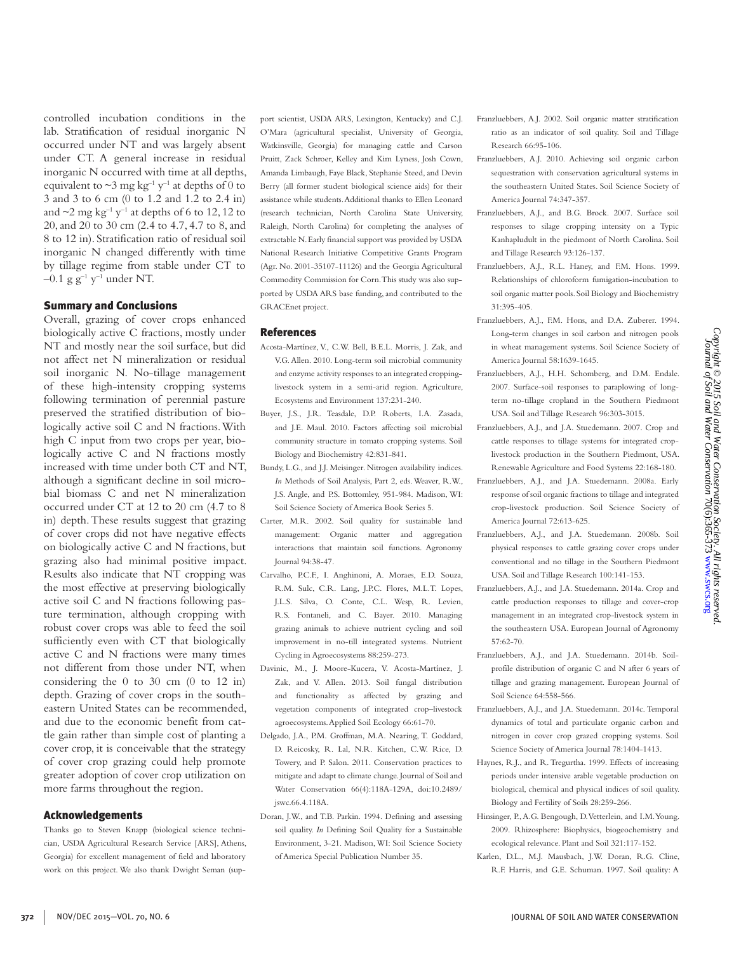controlled incubation conditions in the lab. Stratification of residual inorganic N occurred under NT and was largely absent under CT. A general increase in residual inorganic N occurred with time at all depths, equivalent to  $\sim$ 3 mg kg<sup>-1</sup> y<sup>-1</sup> at depths of 0 to 3 and 3 to 6 cm (0 to 1.2 and 1.2 to 2.4 in) and  $\sim$ 2 mg kg<sup>-1</sup> y<sup>-1</sup> at depths of 6 to 12, 12 to 20, and 20 to 30 cm (2.4 to 4.7, 4.7 to 8, and 8 to 12 in). Stratification ratio of residual soil inorganic N changed differently with time by tillage regime from stable under CT to  $-0.1$  g g<sup>-1</sup> y<sup>-1</sup> under NT.

#### Summary and Conclusions

Overall, grazing of cover crops enhanced biologically active C fractions, mostly under NT and mostly near the soil surface, but did not affect net N mineralization or residual soil inorganic N. No-tillage management of these high-intensity cropping systems following termination of perennial pasture preserved the stratified distribution of biologically active soil C and N fractions. With high C input from two crops per year, biologically active C and N fractions mostly increased with time under both CT and NT, although a significant decline in soil microbial biomass C and net N mineralization occurred under CT at 12 to 20 cm (4.7 to 8 in) depth. These results suggest that grazing of cover crops did not have negative effects on biologically active C and N fractions, but grazing also had minimal positive impact. Results also indicate that NT cropping was the most effective at preserving biologically active soil C and N fractions following pasture termination, although cropping with robust cover crops was able to feed the soil sufficiently even with CT that biologically active C and N fractions were many times not different from those under NT, when considering the 0 to 30 cm (0 to 12 in) depth. Grazing of cover crops in the southeastern United States can be recommended, and due to the economic benefit from cattle gain rather than simple cost of planting a cover crop, it is conceivable that the strategy of cover crop grazing could help promote greater adoption of cover crop utilization on more farms throughout the region.

#### Acknowledgements

Thanks go to Steven Knapp (biological science technician, USDA Agricultural Research Service [ARS], Athens, Georgia) for excellent management of field and laboratory work on this project. We also thank Dwight Seman (support scientist, USDA ARS, Lexington, Kentucky) and C.J. O'Mara (agricultural specialist, University of Georgia, Watkinsville, Georgia) for managing cattle and Carson Pruitt, Zack Schroer, Kelley and Kim Lyness, Josh Cown, Amanda Limbaugh, Faye Black, Stephanie Steed, and Devin Berry (all former student biological science aids) for their assistance while students. Additional thanks to Ellen Leonard (research technician, North Carolina State University, Raleigh, North Carolina) for completing the analyses of extractable N. Early financial support was provided by USDA National Research Initiative Competitive Grants Program (Agr. No. 2001-35107-11126) and the Georgia Agricultural Commodity Commission for Corn. This study was also supported by USDA ARS base funding, and contributed to the GRACEnet project.

#### References

- Acosta-Martínez, V., C.W. Bell, B.E.L. Morris, J. Zak, and V.G. Allen. 2010. Long-term soil microbial community and enzyme activity responses to an integrated croppinglivestock system in a semi-arid region. Agriculture, Ecosystems and Environment 137:231-240.
- Buyer, J.S., J.R. Teasdale, D.P. Roberts, I.A. Zasada, and J.E. Maul. 2010. Factors affecting soil microbial community structure in tomato cropping systems. Soil Biology and Biochemistry 42:831-841.
- Bundy, L.G., and J.J. Meisinger. Nitrogen availability indices. *In* Methods of Soil Analysis, Part 2, eds. Weaver, R.W., J.S. Angle, and P.S. Bottomley, 951-984. Madison, WI: Soil Science Society of America Book Series 5.
- Carter, M.R. 2002. Soil quality for sustainable land management: Organic matter and aggregation interactions that maintain soil functions. Agronomy Journal 94:38-47.
- Carvalho, P.C.F., I. Anghinoni, A. Moraes, E.D. Souza, R.M. Sulc, C.R. Lang, J.P.C. Flores, M.L.T. Lopes, J.L.S. Silva, O. Conte, C.L. Wesp, R. Levien, R.S. Fontaneli, and C. Bayer. 2010. Managing grazing animals to achieve nutrient cycling and soil improvement in no-till integrated systems. Nutrient Cycling in Agroecosystems 88:259-273.
- Davinic, M., J. Moore-Kucera, V. Acosta-Martínez, J. Zak, and V. Allen. 2013. Soil fungal distribution and functionality as affected by grazing and vegetation components of integrated crop–livestock agroecosystems. Applied Soil Ecology 66:61-70.
- Delgado, J.A., P.M. Groffman, M.A. Nearing, T. Goddard, D. Reicosky, R. Lal, N.R. Kitchen, C.W. Rice, D. Towery, and P. Salon. 2011. Conservation practices to mitigate and adapt to climate change. Journal of Soil and Water Conservation 66(4):118A-129A, doi:10.2489/ jswc.66.4.118A.
- Doran, J.W., and T.B. Parkin. 1994. Defining and assessing soil quality. *In* Defining Soil Ouality for a Sustainable Environment, 3-21. Madison, WI: Soil Science Society of America Special Publication Number 35.
- Franzluebbers, A.J. 2002. Soil organic matter stratification ratio as an indicator of soil quality. Soil and Tillage Research 66:95-106.
- Franzluebbers, A.J. 2010. Achieving soil organic carbon sequestration with conservation agricultural systems in the southeastern United States. Soil Science Society of America Journal 74:347-357.
- Franzluebbers, A.J., and B.G. Brock. 2007. Surface soil responses to silage cropping intensity on a Typic Kanhapludult in the piedmont of North Carolina. Soil and Tillage Research 93:126-137.
- Franzluebbers, A.J., R.L. Haney, and F.M. Hons. 1999. Relationships of chloroform fumigation-incubation to soil organic matter pools. Soil Biology and Biochemistry 31:395-405.
- Franzluebbers, A.J., F.M. Hons, and D.A. Zuberer. 1994. Long-term changes in soil carbon and nitrogen pools in wheat management systems. Soil Science Society of America Journal 58:1639-1645.
- Franzluebbers, A.J., H.H. Schomberg, and D.M. Endale. 2007. Surface-soil responses to paraplowing of longterm no-tillage cropland in the Southern Piedmont USA. Soil and Tillage Research 96:303-3015.
- Franzluebbers, A.J., and J.A. Stuedemann. 2007. Crop and cattle responses to tillage systems for integrated croplivestock production in the Southern Piedmont, USA. Renewable Agriculture and Food Systems 22:168-180.
- Franzluebbers, A.J., and J.A. Stuedemann. 2008a. Early response of soil organic fractions to tillage and integrated crop-livestock production. Soil Science Society of America Journal 72:613-625.
- Franzluebbers, A.J., and J.A. Stuedemann. 2008b. Soil physical responses to cattle grazing cover crops under conventional and no tillage in the Southern Piedmont USA. Soil and Tillage Research 100:141-153.
- Franzluebbers, A.J., and J.A. Stuedemann. 2014a. Crop and cattle production responses to tillage and cover-crop management in an integrated crop-livestock system in the southeastern USA. European Journal of Agronomy 57:62-70.
- Franzluebbers, A.J., and J.A. Stuedemann. 2014b. Soilprofile distribution of organic C and N after 6 years of tillage and grazing management. European Journal of Soil Science 64:558-566.
- Franzluebbers, A.J., and J.A. Stuedemann. 2014c. Temporal dynamics of total and particulate organic carbon and nitrogen in cover crop grazed cropping systems. Soil Science Society of America Journal 78:1404-1413.
- Haynes, R.J., and R. Tregurtha. 1999. Effects of increasing periods under intensive arable vegetable production on biological, chemical and physical indices of soil quality. Biology and Fertility of Soils 28:259-266.
- Hinsinger, P., A.G. Bengough, D. Vetterlein, and I.M. Young. 2009. Rhizosphere: Biophysics, biogeochemistry and ecological relevance. Plant and Soil 321:117-152.
- Karlen, D.L., M.J. Mausbach, J.W. Doran, R.G. Cline, R.F. Harris, and G.E. Schuman. 1997. Soil quality: A